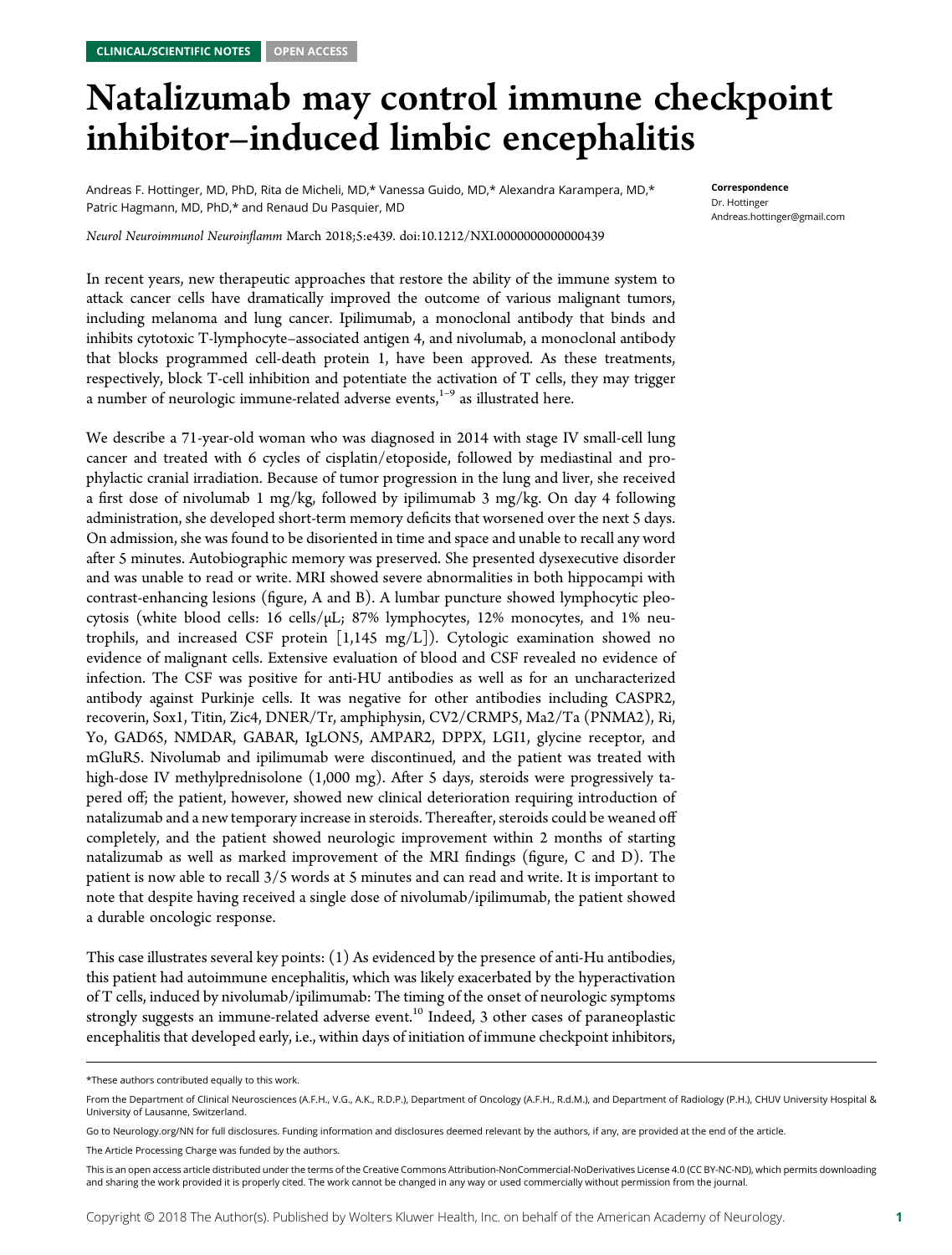# Natalizumab may control immune checkpoint inhibitor–induced limbic encephalitis

Andreas F. Hottinger, MD, PhD, Rita de Micheli, MD,\* Vanessa Guido, MD,\* Alexandra Karampera, MD,\* Patric Hagmann, MD, PhD,\* and Renaud Du Pasquier, MD

Neurol Neuroimmunol Neuroinflamm March 2018;5:e439. doi[:10.1212/NXI.0000000000000439](http://dx.doi.org/10.1212/NXI.0000000000000439)

In recent years, new therapeutic approaches that restore the ability of the immune system to attack cancer cells have dramatically improved the outcome of various malignant tumors, including melanoma and lung cancer. Ipilimumab, a monoclonal antibody that binds and inhibits cytotoxic T-lymphocyte–associated antigen 4, and nivolumab, a monoclonal antibody that blocks programmed cell-death protein 1, have been approved. As these treatments, respectively, block T-cell inhibition and potentiate the activation of T cells, they may trigger a number of neurologic immune-related adverse events, $1-9$  as illustrated here.

We describe a 71-year-old woman who was diagnosed in 2014 with stage IV small-cell lung cancer and treated with 6 cycles of cisplatin/etoposide, followed by mediastinal and prophylactic cranial irradiation. Because of tumor progression in the lung and liver, she received a first dose of nivolumab 1 mg/kg, followed by ipilimumab 3 mg/kg. On day 4 following administration, she developed short-term memory deficits that worsened over the next 5 days. On admission, she was found to be disoriented in time and space and unable to recall any word after 5 minutes. Autobiographic memory was preserved. She presented dysexecutive disorder and was unable to read or write. MRI showed severe abnormalities in both hippocampi with contrast-enhancing lesions (figure, A and B). A lumbar puncture showed lymphocytic pleocytosis (white blood cells: 16 cells/μL; 87% lymphocytes, 12% monocytes, and 1% neutrophils, and increased CSF protein [1,145 mg/L]). Cytologic examination showed no evidence of malignant cells. Extensive evaluation of blood and CSF revealed no evidence of infection. The CSF was positive for anti-HU antibodies as well as for an uncharacterized antibody against Purkinje cells. It was negative for other antibodies including CASPR2, recoverin, Sox1, Titin, Zic4, DNER/Tr, amphiphysin, CV2/CRMP5, Ma2/Ta (PNMA2), Ri, Yo, GAD65, NMDAR, GABAR, IgLON5, AMPAR2, DPPX, LGI1, glycine receptor, and mGluR5. Nivolumab and ipilimumab were discontinued, and the patient was treated with high-dose IV methylprednisolone (1,000 mg). After 5 days, steroids were progressively tapered off; the patient, however, showed new clinical deterioration requiring introduction of natalizumab and a new temporary increase in steroids. Thereafter, steroids could be weaned off completely, and the patient showed neurologic improvement within 2 months of starting natalizumab as well as marked improvement of the MRI findings (figure, C and D). The patient is now able to recall 3/5 words at 5 minutes and can read and write. It is important to note that despite having received a single dose of nivolumab/ipilimumab, the patient showed a durable oncologic response.

This case illustrates several key points: (1) As evidenced by the presence of anti-Hu antibodies, this patient had autoimmune encephalitis, which was likely exacerbated by the hyperactivation of T cells, induced by nivolumab/ipilimumab: The timing of the onset of neurologic symptoms strongly suggests an immune-related adverse event.<sup>10</sup> Indeed, 3 other cases of paraneoplastic encephalitis that developed early, i.e., within days of initiation of immune checkpoint inhibitors,

<sup>\*</sup>These authors contributed equally to this work.

From the Department of Clinical Neurosciences (A.F.H., V.G., A.K., R.D.P.), Department of Oncology (A.F.H., R.d.M.), and Department of Radiology (P.H.), CHUV University Hospital & University of Lausanne, Switzerland.

Go to [Neurology.org/NN](http://nn.neurology.org/lookup/doi/10.1212/NXI.0000000000000439) for full disclosures. Funding information and disclosures deemed relevant by the authors, if any, are provided at the end of the article.

The Article Processing Charge was funded by the authors.

This is an open access article distributed under the terms of the [Creative Commons Attribution-NonCommercial-NoDerivatives License 4.0 \(CC BY-NC-ND\),](http://creativecommons.org/licenses/by-nc-nd/4.0/) which permits downloading and sharing the work provided it is properly cited. The work cannot be changed in any way or used commercially without permission from the journal.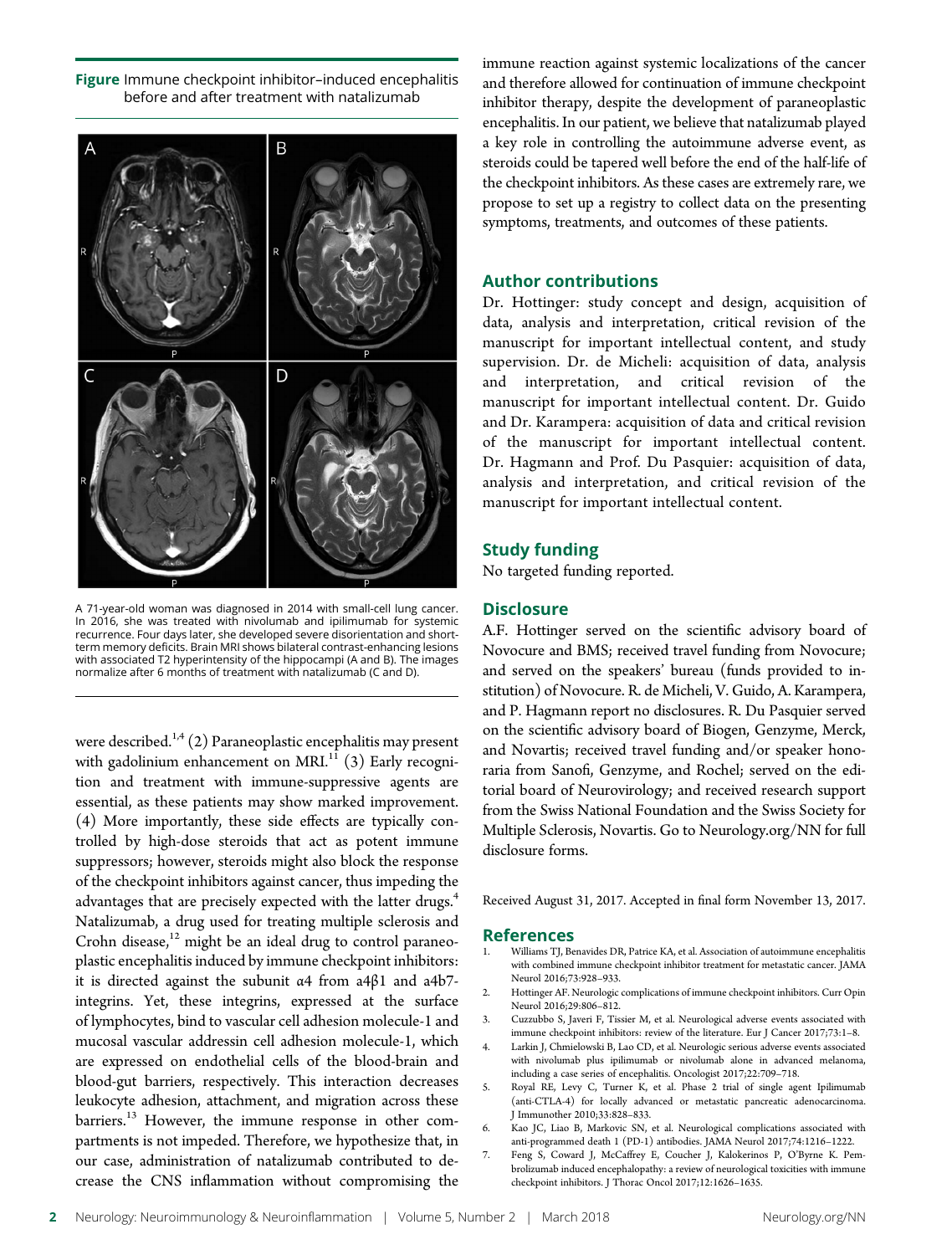Figure Immune checkpoint inhibitor–induced encephalitis before and after treatment with natalizumab



A 71-year-old woman was diagnosed in 2014 with small-cell lung cancer. In 2016, she was treated with nivolumab and ipilimumab for systemic recurrence. Four days later, she developed severe disorientation and shortterm memory deficits. Brain MRI shows bilateral contrast-enhancing lesions with associated T2 hyperintensity of the hippocampi (A and B). The images normalize after 6 months of treatment with natalizumab (C and D).

were described.<sup>1,4</sup> (2) Paraneoplastic encephalitis may present with gadolinium enhancement on MRI.<sup>11</sup> (3) Early recognition and treatment with immune-suppressive agents are essential, as these patients may show marked improvement. (4) More importantly, these side effects are typically controlled by high-dose steroids that act as potent immune suppressors; however, steroids might also block the response of the checkpoint inhibitors against cancer, thus impeding the advantages that are precisely expected with the latter drugs.<sup>4</sup> Natalizumab, a drug used for treating multiple sclerosis and Crohn disease, $12$  might be an ideal drug to control paraneoplastic encephalitis induced by immune checkpoint inhibitors: it is directed against the subunit α4 from a4β1 and a4b7 integrins. Yet, these integrins, expressed at the surface of lymphocytes, bind to vascular cell adhesion molecule-1 and mucosal vascular addressin cell adhesion molecule-1, which are expressed on endothelial cells of the blood-brain and blood-gut barriers, respectively. This interaction decreases leukocyte adhesion, attachment, and migration across these barriers.<sup>13</sup> However, the immune response in other compartments is not impeded. Therefore, we hypothesize that, in our case, administration of natalizumab contributed to decrease the CNS inflammation without compromising the

immune reaction against systemic localizations of the cancer and therefore allowed for continuation of immune checkpoint inhibitor therapy, despite the development of paraneoplastic encephalitis. In our patient, we believe that natalizumab played a key role in controlling the autoimmune adverse event, as steroids could be tapered well before the end of the half-life of the checkpoint inhibitors. As these cases are extremely rare, we propose to set up a registry to collect data on the presenting symptoms, treatments, and outcomes of these patients.

## Author contributions

Dr. Hottinger: study concept and design, acquisition of data, analysis and interpretation, critical revision of the manuscript for important intellectual content, and study supervision. Dr. de Micheli: acquisition of data, analysis and interpretation, and critical revision of the manuscript for important intellectual content. Dr. Guido and Dr. Karampera: acquisition of data and critical revision of the manuscript for important intellectual content. Dr. Hagmann and Prof. Du Pasquier: acquisition of data, analysis and interpretation, and critical revision of the manuscript for important intellectual content.

### Study funding

No targeted funding reported.

### **Disclosure**

A.F. Hottinger served on the scientific advisory board of Novocure and BMS; received travel funding from Novocure; and served on the speakers' bureau (funds provided to institution) of Novocure. R. de Micheli, V. Guido, A. Karampera, and P. Hagmann report no disclosures. R. Du Pasquier served on the scientific advisory board of Biogen, Genzyme, Merck, and Novartis; received travel funding and/or speaker honoraria from Sanofi, Genzyme, and Rochel; served on the editorial board of Neurovirology; and received research support from the Swiss National Foundation and the Swiss Society for Multiple Sclerosis, Novartis. Go to [Neurology.org/NN](http://nn.neurology.org/lookup/doi/10.1212/NXI.0000000000000439) for full disclosure forms.

Received August 31, 2017. Accepted in final form November 13, 2017.

#### References

- 1. Williams TJ, Benavides DR, Patrice KA, et al. Association of autoimmune encephalitis with combined immune checkpoint inhibitor treatment for metastatic cancer. JAMA Neurol 2016;73:928–933.
- 2. Hottinger AF. Neurologic complications of immune checkpoint inhibitors. Curr Opin Neurol 2016;29:806–812.
- 3. Cuzzubbo S, Javeri F, Tissier M, et al. Neurological adverse events associated with immune checkpoint inhibitors: review of the literature. Eur J Cancer 2017;73:1–8.
- 4. Larkin J, Chmielowski B, Lao CD, et al. Neurologic serious adverse events associated with nivolumab plus ipilimumab or nivolumab alone in advanced melanoma, including a case series of encephalitis. Oncologist 2017;22:709–718.
- 5. Royal RE, Levy C, Turner K, et al. Phase 2 trial of single agent Ipilimumab (anti-CTLA-4) for locally advanced or metastatic pancreatic adenocarcinoma. J Immunother 2010;33:828–833.
- 6. Kao JC, Liao B, Markovic SN, et al. Neurological complications associated with anti-programmed death 1 (PD-1) antibodies. JAMA Neurol 2017;74:1216–1222.
- 7. Feng S, Coward J, McCaffrey E, Coucher J, Kalokerinos P, O'Byrne K. Pembrolizumab induced encephalopathy: a review of neurological toxicities with immune checkpoint inhibitors. J Thorac Oncol 2017;12:1626–1635.